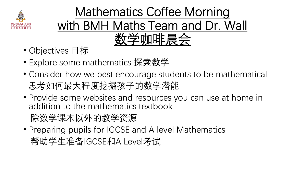

### Mathematics Coffee Morning with BMH Maths Team and Dr. Wall 数学咖啡晨会

- Objectives 目标
- Explore some mathematics 探索数学
- Consider how we best encourage students to be mathematical 思考如何最大程度挖掘孩子的数学潜能
- Provide some websites and resources you can use at home in addition to the mathematics textbook

除数学课本以外的教学资源

• Preparing pupils for IGCSE and A level Mathematics 帮助学生准备IGCSE和A Level考试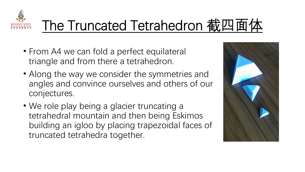

# The Truncated Tetrahedron 截四面体

- From A4 we can fold a perfect equilateral triangle and from there a tetrahedron.
- Along the way we consider the symmetries and angles and convince ourselves and others of our conjectures.
- We role play being a glacier truncating a tetrahedral mountain and then being Eskimos building an igloo by placing trapezoidal faces of truncated tetrahedra together.

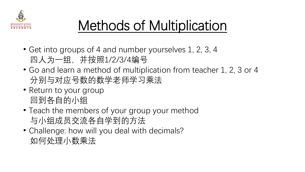

# Methods of Multiplication

- Get into groups of 4 and number yourselves 1, 2, 3, 4 四人为一组,并按照1/2/3/4编号
- Go and learn a method of multiplication from teacher 1, 2, 3 or 4 分别与对应号数的数学老师学习乘法
- Return to your group 回到各自的小组
- Teach the members of your group your method 与小组成员交流各自学到的方法
- Challenge: how will you deal with decimals? 如何处理小数乘法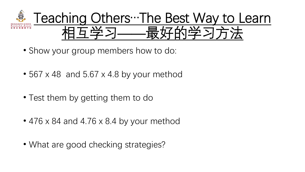

- Show your group members how to do:
- $\cdot$  567 x 48 and 5.67 x 4.8 by your method
- Test them by getting them to do
- 476 x 84 and 4.76 x 8.4 by your method
- What are good checking strategies?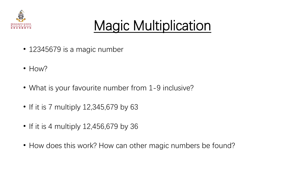

## Magic Multiplication

- 12345679 is a magic number
- How?
- What is your favourite number from 1-9 inclusive?
- If it is 7 multiply 12,345,679 by 63
- If it is 4 multiply 12,456,679 by 36
- How does this work? How can other magic numbers be found?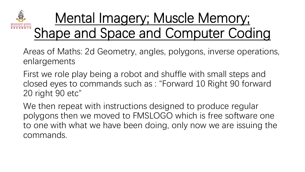

## Mental Imagery; Muscle Memory; Shape and Space and Computer Coding

- Areas of Maths: 2d Geometry, angles, polygons, inverse operations, enlargements
- First we role play being a robot and shuffle with small steps and closed eyes to commands such as : "Forward 10 Right 90 forward 20 right 90 etc"
- We then repeat with instructions designed to produce regular polygons then we moved to FMSLOGO which is free software one to one with what we have been doing, only now we are issuing the commands.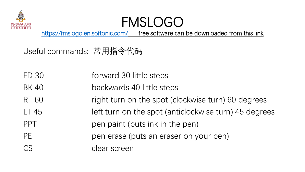

## FMSLOG

<https://fmslogo.en.softonic.com/> free software can be downloaded from this link

Useful commands: 常用指令代码

FD 30 **FD 30** forward 30 little steps

- BK 40 backwards 40 little steps
- RT 60 right turn on the spot (clockwise turn) 60 degrees
- LT 45 **LEGE** left turn on the spot (anticlockwise turn) 45 degrees PPT pen paint (puts ink in the pen)
- PE pen erase (puts an eraser on your pen)

CS clear screen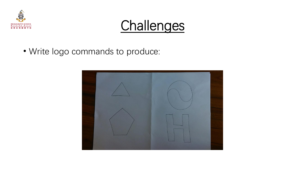



• Write logo commands to produce:

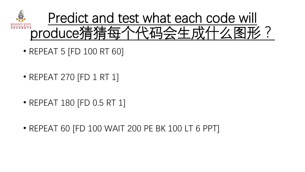

- REPEAT 5 [FD 100 RT 60]
- REPEAT 270 [FD 1 RT 1]
- REPEAT 180 [FD 0.5 RT 1]
- REPEAT 60 [FD 100 WAIT 200 PE BK 100 LT 6 PPT]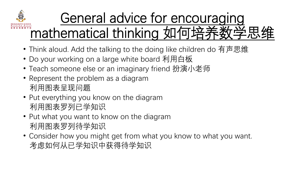

## General advice for encouraging mathematical thinking 如何培养数学思结

- Think aloud. Add the talking to the doing like children do 有声思维
- Do your working on a large white board 利用白板
- Teach someone else or an imaginary friend 扮演小老师
- Represent the problem as a diagram 利用图表呈现问题
- Put everything you know on the diagram 利用图表罗列已学知识
- Put what you want to know on the diagram 利用图表罗列待学知识
- Consider how you might get from what you know to what you want. 考虑如何从已学知识中获得待学知识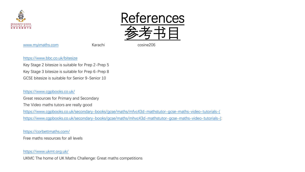

[www.myimaths.com](http://www.myimaths.com/) Karachi Karachi cosine206

References

参考书目

#### <https://www.bbc.co.uk/bitesize>

Key Stage 2 bitesize is suitable for Prep 2-Prep 5 Key Stage 3 bitesize is suitable for Prep 6-Prep 8 GCSE bitesize is suitable for Senior 9-Senior 10

#### <https://www.cgpbooks.co.uk/>

Great resources for Primary and Secondary

The Video maths tutors are really good

[https://www.cgpbooks.co.uk/secondary-books/gcse/maths/mfvc43d-mathstutor-gcse-maths-video-tutorials-\(](https://www.cgpbooks.co.uk/secondary-books/gcse/maths/mfvc43d-mathstutor-gcse-maths-video-tutorials-() [https://www.cgpbooks.co.uk/secondary-books/gcse/maths/mhvc43d-mathstutor-gcse-maths-video-tutorials-\(](https://www.cgpbooks.co.uk/secondary-books/gcse/maths/mhvc43d-mathstutor-gcse-maths-video-tutorials-():

#### <https://corbettmaths.com/>

Free maths resources for all levels

#### <https://www.ukmt.org.uk/>

UKMC The home of UK Maths Challenge: Great maths competitions